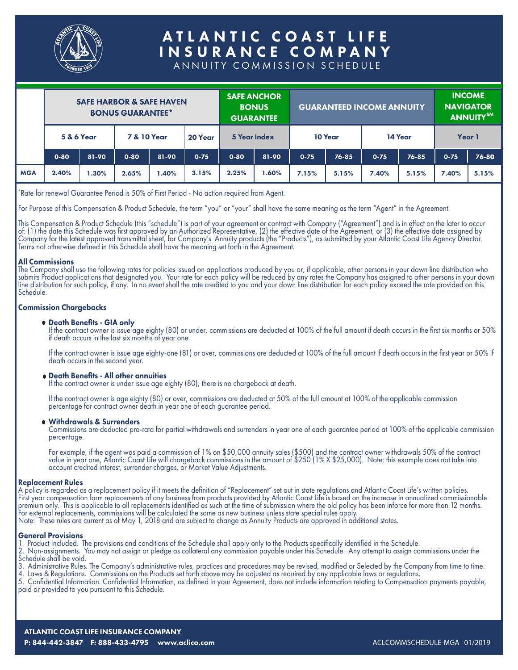

# ATLANTIC COAST LIFE INSURANCE COMPANY

ANNUITY COMMISSION SCHEDULE

|            | <b>SAFE HARBOR &amp; SAFE HAVEN</b><br><b>BONUS GUARANTEE*</b> |       |          | <b>SAFE ANCHOR</b><br><b>BONUS</b> | <b>GUARANTEE</b>       | <b>GUARANTEED INCOME ANNUITY</b> |         |              | <b>INCOME</b><br><b>NAVIGATOR</b><br>ANNUITY <sup>SM</sup> |          |           |          |         |  |        |  |
|------------|----------------------------------------------------------------|-------|----------|------------------------------------|------------------------|----------------------------------|---------|--------------|------------------------------------------------------------|----------|-----------|----------|---------|--|--------|--|
|            | <b>5 &amp; 6 Year</b>                                          |       |          |                                    | <b>7 &amp; 10 Year</b> |                                  | 20 Year | 5 Year Index |                                                            |          | 10 Year   |          | 14 Year |  | Year 1 |  |
|            | $0 - 80$                                                       | 81-90 | $0 - 80$ | 81-90                              | $0 - 75$               | $0 - 80$                         | 81-90   | $0 - 75$     | 76-85                                                      | $0 - 75$ | $76 - 85$ | $0 - 75$ | 76-80   |  |        |  |
| <b>MGA</b> | 2.40%                                                          | 1.30% | 2.65%    | 1.40%                              | 3.15%                  | 2.25%                            | .60%    | 7.15%        | 5.15%                                                      | 7.40%    | 5.15%     | 7.40%    | 5.15%   |  |        |  |

\* Rate for renewal Guarantee Period is 50% of First Period - No action required from Agent.

For Purpose of this Compensation & Product Schedule, the term "you" or "your" shall have the same meaning as the term "Agent" in the Agreement.

This Compensation & Product Schedule (this "schedule") is part of your agreement or contract with Company ("Agreement") and is in effect on the later to occur of: (1) the date this Schedule was first approved by an Authorized Representative, (2) the effective date of the Agreement, or (3) the effective date assigned by Company for the latest approved transmittal sheet, for Company's Annuity products (the "Products"), as submitted by your Atlantic Coast Life Agency Director. Terms not otherwise defined in this Schedule shall have the meaning set forth in the Agreement.

### All Commissions

The Company shall use the following rates for policies issued on applications produced by you or, if applicable, other persons in your down line distribution who submits Product applications that designated you. Your rate for each policy will be reduced by any rates the Company has assigned to other persons in your down line distribution for such policy, if any. In no event shall the rate credited to you and your down line distribution for each policy exceed the rate provided on this Schedule.

### Commission Chargebacks

### Death Benefits - GIA only

If the contract owner is issue age eighty (80) or under, commissions are deducted at 100% of the full amount if death occurs in the first six months or 50% if death occurs in the last six months of year one.

If the contract owner is issue age eighty-one (81) or over, commissions are deducted at 100% of the full amount if death occurs in the first year or 50% if death occurs in the second year.

#### Death Benefits - All other annuities

If the contract owner is under issue age eighty (80), there is no chargeback at death.

If the contract owner is age eighty (80) or over, commissions are deducted at 50% of the full amount at 100% of the applicable commission percentage for contract owner death in year one of each guarantee period.

### Withdrawals & Surrenders

Commissions are deducted pro-rata for partial withdrawals and surrenders in year one of each guarantee period at 100% of the applicable commission percentage.

For example, if the agent was paid a commission of 1% on \$50,000 annuity sales (\$500) and the contract owner withdrawals 50% of the contract value in year one, Atlantic Coast Life will chargeback commissions in the amount of \$250 (1% X \$25,000). Note; this example does not take into account credited interest, surrender charges, or Market Value Adjustments.

#### Replacement Rules

A policy is regarded as a replacement policy if it meets the definition of "Replacement" set out in state regulations and Atlantic Coast Life's written policies. First year compensation form replacements of any business from products provided by Atlantic Coast Life is based on the increase in annualized commissionable premium only. This is applicable to all replacements identified as such at the time of submission where the old policy has been inforce for more than 12 months. For external replacements, commissions will be calculated the same as new business unless state special rules apply. Note: These rules are current as of May 1, 2018 and are subject to change as Annuity Products are approved in additional states.

#### General Provisions

1. Product Included. The provisions and conditions of the Schedule shall apply only to the Products specifically identified in the Schedule.

- 2. Non-assignments. You may not assign or pledge as collateral any commission payable under this Schedule. Any attempt to assign commissions under the Schedule shall be void.
- 3. Administrative Rules. The Company's administrative rules, practices and procedures may be revised, modified or Selected by the Company from time to time.
- 4. Laws & Regulations. Commissions on the Products set forth above may be adjusted as required by any applicable laws or regulations.

5. Confidential Information. Confidential Information, as defined in your Agreement, does not include information relating to Compensation payments payable, paid or provided to you pursuant to this Schedule.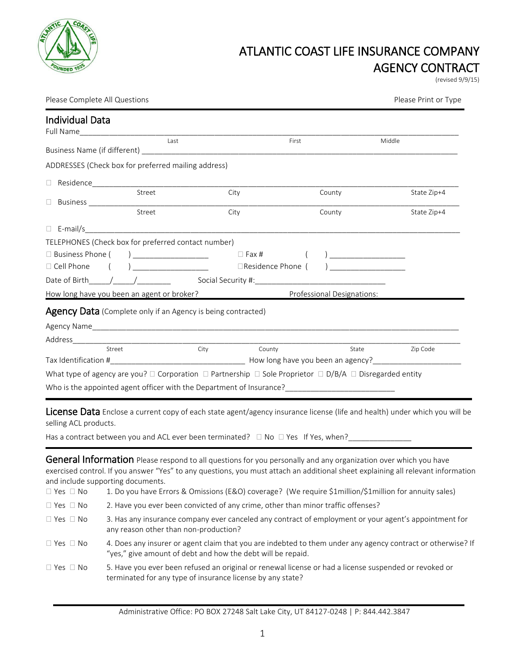

## ATLANTIC COAST LIFE INSURANCE COMPANY AGENCY CONTRACT

(revised 9/9/15)

Please Complete All Questions **Please Print of Type** Please Print or Type Please Print or Type

| <b>Individual Data</b>                                                                                                           |                            |        |             |
|----------------------------------------------------------------------------------------------------------------------------------|----------------------------|--------|-------------|
| Last                                                                                                                             |                            | First  | Middle      |
|                                                                                                                                  |                            |        |             |
| ADDRESSES (Check box for preferred mailing address)                                                                              |                            |        |             |
|                                                                                                                                  |                            |        |             |
| Street                                                                                                                           | City                       | County | State Zip+4 |
|                                                                                                                                  |                            |        |             |
| Street                                                                                                                           | City                       | County | State Zip+4 |
|                                                                                                                                  |                            |        |             |
| TELEPHONES (Check box for preferred contact number)                                                                              |                            |        |             |
|                                                                                                                                  |                            |        |             |
| □ Cell Phone ( ) ____________________    □Residence Phone ( ) _________________                                                  |                            |        |             |
| Date of Birth / /                                                                                                                |                            |        |             |
| How long have you been an agent or broker? The Professional Designations:                                                        |                            |        |             |
| <b>Agency Data</b> (Complete only if an Agency is being contracted)                                                              |                            |        |             |
|                                                                                                                                  |                            |        |             |
|                                                                                                                                  |                            |        |             |
| Street                                                                                                                           | <b>City City</b><br>County | State  | Zip Code    |
|                                                                                                                                  |                            |        |             |
| What type of agency are you? $\Box$ Corporation $\Box$ Partnership $\Box$ Sole Proprietor $\Box$ D/B/A $\Box$ Disregarded entity |                            |        |             |
| Who is the appointed agent officer with the Department of Insurance?                                                             |                            |        |             |

License Data Enclose a current copy of each state agent/agency insurance license (life and health) under which you will be selling ACL products.

Has a contract between you and ACL ever been terminated?  $\Box$  No  $\Box$  Yes If Yes, when?\_\_

General Information Please respond to all questions for you personally and any organization over which you have exercised control. If you answer "Yes" to any questions, you must attach an additional sheet explaining all relevant information and include supporting documents.

| 1. Do you have Errors & Omissions (E&O) coverage? (We require \$1 million/\$1 million for annuity sales)                                                                   |
|----------------------------------------------------------------------------------------------------------------------------------------------------------------------------|
| 2. Have you ever been convicted of any crime, other than minor traffic offenses?                                                                                           |
| 3. Has any insurance company ever canceled any contract of employment or your agent's appointment for<br>any reason other than non-production?                             |
| 4. Does any insurer or agent claim that you are indebted to them under any agency contract or otherwise? If<br>"yes," give amount of debt and how the debt will be repaid. |
| 5. Have you ever been refused an original or renewal license or had a license suspended or revoked or<br>terminated for any type of insurance license by any state?        |
|                                                                                                                                                                            |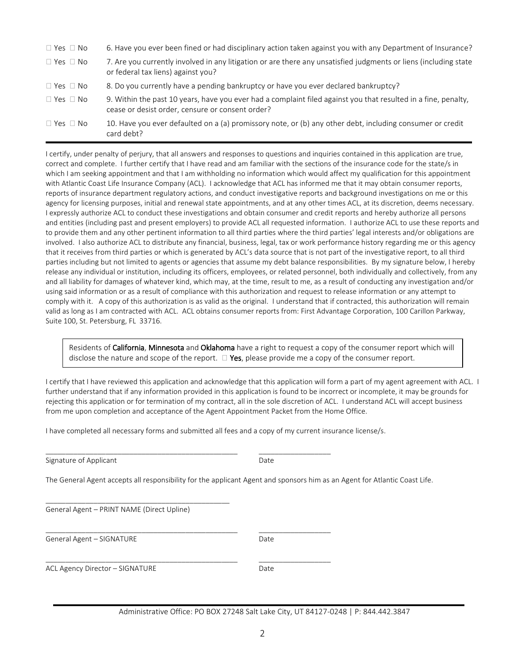| $\Box$ Yes $\Box$ No | 6. Have you ever been fined or had disciplinary action taken against you with any Department of Insurance?                                                         |
|----------------------|--------------------------------------------------------------------------------------------------------------------------------------------------------------------|
| $\Box$ Yes $\Box$ No | 7. Are you currently involved in any litigation or are there any unsatisfied judgments or liens (including state<br>or federal tax liens) against you?             |
| $\Box$ Yes $\Box$ No | 8. Do you currently have a pending bankruptcy or have you ever declared bankruptcy?                                                                                |
| $\Box$ Yes $\Box$ No | 9. Within the past 10 years, have you ever had a complaint filed against you that resulted in a fine, penalty,<br>cease or desist order, censure or consent order? |
| $\Box$ Yes $\Box$ No | 10. Have you ever defaulted on a (a) promissory note, or (b) any other debt, including consumer or credit<br>card debt?                                            |

I certify, under penalty of perjury, that all answers and responses to questions and inquiries contained in this application are true, correct and complete. I further certify that I have read and am familiar with the sections of the insurance code for the state/s in which I am seeking appointment and that I am withholding no information which would affect my qualification for this appointment with Atlantic Coast Life Insurance Company (ACL). I acknowledge that ACL has informed me that it may obtain consumer reports, reports of insurance department regulatory actions, and conduct investigative reports and background investigations on me or this agency for licensing purposes, initial and renewal state appointments, and at any other times ACL, at its discretion, deems necessary. I expressly authorize ACL to conduct these investigations and obtain consumer and credit reports and hereby authorize all persons and entities (including past and present employers) to provide ACL all requested information. I authorize ACL to use these reports and to provide them and any other pertinent information to all third parties where the third parties' legal interests and/or obligations are involved. I also authorize ACL to distribute any financial, business, legal, tax or work performance history regarding me or this agency that it receives from third parties or which is generated by ACL's data source that is not part of the investigative report, to all third parties including but not limited to agents or agencies that assume my debt balance responsibilities. By my signature below, I hereby release any individual or institution, including its officers, employees, or related personnel, both individually and collectively, from any and all liability for damages of whatever kind, which may, at the time, result to me, as a result of conducting any investigation and/or using said information or as a result of compliance with this authorization and request to release information or any attempt to comply with it. A copy of this authorization is as valid as the original. I understand that if contracted, this authorization will remain valid as long as I am contracted with ACL. ACL obtains consumer reports from: First Advantage Corporation, 100 Carillon Parkway, Suite 100, St. Petersburg, FL 33716.

Residents of California, Minnesota and Oklahoma have a right to request a copy of the consumer report which will disclose the nature and scope of the report.  $\Box$  Yes, please provide me a copy of the consumer report.

I certify that I have reviewed this application and acknowledge that this application will form a part of my agent agreement with ACL. I further understand that if any information provided in this application is found to be incorrect or incomplete, it may be grounds for rejecting this application or for termination of my contract, all in the sole discretion of ACL. I understand ACL will accept business from me upon completion and acceptance of the Agent Appointment Packet from the Home Office.

I have completed all necessary forms and submitted all fees and a copy of my current insurance license/s.

\_\_\_\_\_\_\_\_\_\_\_\_\_\_\_\_\_\_\_\_\_\_\_\_\_\_\_\_\_\_\_\_\_\_\_\_\_\_\_\_\_\_\_\_\_\_\_\_ \_\_\_\_\_\_\_\_\_\_\_\_\_\_\_\_\_\_

\_\_\_\_\_\_\_\_\_\_\_\_\_\_\_\_\_\_\_\_\_\_\_\_\_\_\_\_\_\_\_\_\_\_\_\_\_\_\_\_\_\_\_\_\_\_\_\_ \_\_\_\_\_\_\_\_\_\_\_\_\_\_\_\_\_\_

\_\_\_\_\_\_\_\_\_\_\_\_\_\_\_\_\_\_\_\_\_\_\_\_\_\_\_\_\_\_\_\_\_\_\_\_\_\_\_\_\_\_\_\_\_\_\_\_ \_\_\_\_\_\_\_\_\_\_\_\_\_\_\_\_\_\_

| Signature of Applicant | Date |
|------------------------|------|
|------------------------|------|

The General Agent accepts all responsibility for the applicant Agent and sponsors him as an Agent for Atlantic Coast Life.

General Agent – PRINT NAME (Direct Upline)

\_\_\_\_\_\_\_\_\_\_\_\_\_\_\_\_\_\_\_\_\_\_\_\_\_\_\_\_\_\_\_\_\_\_\_\_\_\_\_\_\_\_\_\_\_\_

General Agent – SIGNATURE Date

ACL Agency Director – SIGNATURE Date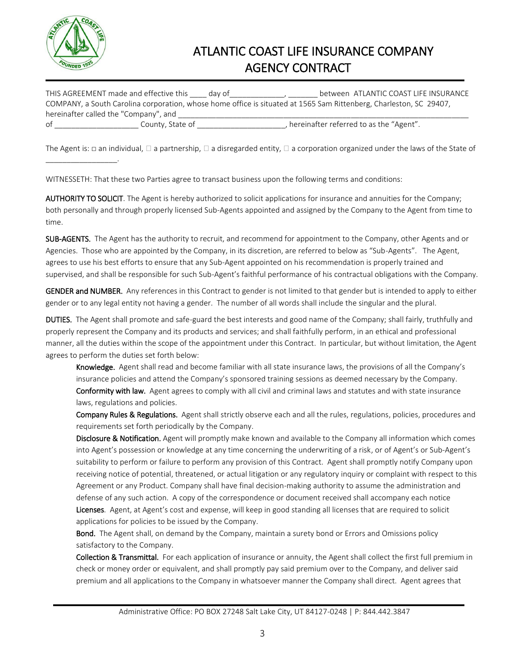

\_\_\_\_\_\_\_\_\_\_\_\_\_\_\_\_\_.

## ATLANTIC COAST LIFE INSURANCE COMPANY AGENCY CONTRACT

| THIS AGREEMENT made and effective this | dav of                                                                                                             | between ATLANTIC COAST LIFE INSURANCE |
|----------------------------------------|--------------------------------------------------------------------------------------------------------------------|---------------------------------------|
|                                        | COMPANY, a South Carolina corporation, whose home office is situated at 1565 Sam Rittenberg, Charleston, SC 29407, |                                       |
| hereinafter called the "Company", and  |                                                                                                                    |                                       |
| County. State of<br>οf                 | , hereinafter referred to as the "Agent".                                                                          |                                       |

The Agent is:  $\Box$  an individual,  $\Box$  a partnership,  $\Box$  a disregarded entity,  $\Box$  a corporation organized under the laws of the State of

WITNESSETH: That these two Parties agree to transact business upon the following terms and conditions:

AUTHORITY TO SOLICIT. The Agent is hereby authorized to solicit applications for insurance and annuities for the Company; both personally and through properly licensed Sub-Agents appointed and assigned by the Company to the Agent from time to time.

SUB-AGENTS. The Agent has the authority to recruit, and recommend for appointment to the Company, other Agents and or Agencies. Those who are appointed by the Company, in its discretion, are referred to below as "Sub-Agents". The Agent, agrees to use his best efforts to ensure that any Sub-Agent appointed on his recommendation is properly trained and supervised, and shall be responsible for such Sub-Agent's faithful performance of his contractual obligations with the Company.

GENDER and NUMBER. Any references in this Contract to gender is not limited to that gender but is intended to apply to either gender or to any legal entity not having a gender. The number of all words shall include the singular and the plural.

DUTIES. The Agent shall promote and safe-guard the best interests and good name of the Company; shall fairly, truthfully and properly represent the Company and its products and services; and shall faithfully perform, in an ethical and professional manner, all the duties within the scope of the appointment under this Contract. In particular, but without limitation, the Agent agrees to perform the duties set forth below:

Knowledge. Agent shall read and become familiar with all state insurance laws, the provisions of all the Company's insurance policies and attend the Company's sponsored training sessions as deemed necessary by the Company. Conformity with law. Agent agrees to comply with all civil and criminal laws and statutes and with state insurance laws, regulations and policies.

Company Rules & Regulations. Agent shall strictly observe each and all the rules, regulations, policies, procedures and requirements set forth periodically by the Company.

Disclosure & Notification. Agent will promptly make known and available to the Company all information which comes into Agent's possession or knowledge at any time concerning the underwriting of a risk, or of Agent's or Sub-Agent's suitability to perform or failure to perform any provision of this Contract. Agent shall promptly notify Company upon receiving notice of potential, threatened, or actual litigation or any regulatory inquiry or complaint with respect to this Agreement or any Product. Company shall have final decision-making authority to assume the administration and defense of any such action. A copy of the correspondence or document received shall accompany each notice Licenses. Agent, at Agent's cost and expense, will keep in good standing all licenses that are required to solicit applications for policies to be issued by the Company.

**Bond.** The Agent shall, on demand by the Company, maintain a surety bond or Errors and Omissions policy satisfactory to the Company.

Collection & Transmittal. For each application of insurance or annuity, the Agent shall collect the first full premium in check or money order or equivalent, and shall promptly pay said premium over to the Company, and deliver said premium and all applications to the Company in whatsoever manner the Company shall direct. Agent agrees that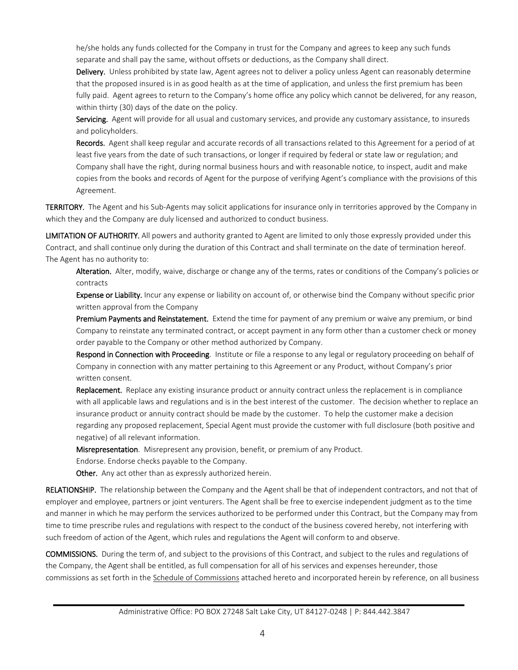he/she holds any funds collected for the Company in trust for the Company and agrees to keep any such funds separate and shall pay the same, without offsets or deductions, as the Company shall direct.

Delivery. Unless prohibited by state law, Agent agrees not to deliver a policy unless Agent can reasonably determine that the proposed insured is in as good health as at the time of application, and unless the first premium has been fully paid. Agent agrees to return to the Company's home office any policy which cannot be delivered, for any reason, within thirty (30) days of the date on the policy.

Servicing. Agent will provide for all usual and customary services, and provide any customary assistance, to insureds and policyholders.

Records. Agent shall keep regular and accurate records of all transactions related to this Agreement for a period of at least five years from the date of such transactions, or longer if required by federal or state law or regulation; and Company shall have the right, during normal business hours and with reasonable notice, to inspect, audit and make copies from the books and records of Agent for the purpose of verifying Agent's compliance with the provisions of this Agreement.

TERRITORY. The Agent and his Sub-Agents may solicit applications for insurance only in territories approved by the Company in which they and the Company are duly licensed and authorized to conduct business.

LIMITATION OF AUTHORITY. All powers and authority granted to Agent are limited to only those expressly provided under this Contract, and shall continue only during the duration of this Contract and shall terminate on the date of termination hereof. The Agent has no authority to:

Alteration. Alter, modify, waive, discharge or change any of the terms, rates or conditions of the Company's policies or contracts

Expense or Liability. Incur any expense or liability on account of, or otherwise bind the Company without specific prior written approval from the Company

Premium Payments and Reinstatement. Extend the time for payment of any premium or waive any premium, or bind Company to reinstate any terminated contract, or accept payment in any form other than a customer check or money order payable to the Company or other method authorized by Company.

Respond in Connection with Proceeding. Institute or file a response to any legal or regulatory proceeding on behalf of Company in connection with any matter pertaining to this Agreement or any Product, without Company's prior written consent.

Replacement. Replace any existing insurance product or annuity contract unless the replacement is in compliance with all applicable laws and regulations and is in the best interest of the customer. The decision whether to replace an insurance product or annuity contract should be made by the customer. To help the customer make a decision regarding any proposed replacement, Special Agent must provide the customer with full disclosure (both positive and negative) of all relevant information.

Misrepresentation. Misrepresent any provision, benefit, or premium of any Product.

Endorse. Endorse checks payable to the Company.

Other. Any act other than as expressly authorized herein.

RELATIONSHIP. The relationship between the Company and the Agent shall be that of independent contractors, and not that of employer and employee, partners or joint venturers. The Agent shall be free to exercise independent judgment as to the time and manner in which he may perform the services authorized to be performed under this Contract, but the Company may from time to time prescribe rules and regulations with respect to the conduct of the business covered hereby, not interfering with such freedom of action of the Agent, which rules and regulations the Agent will conform to and observe.

COMMISSIONS. During the term of, and subject to the provisions of this Contract, and subject to the rules and regulations of the Company, the Agent shall be entitled, as full compensation for all of his services and expenses hereunder, those commissions as set forth in the Schedule of Commissions attached hereto and incorporated herein by reference, on all business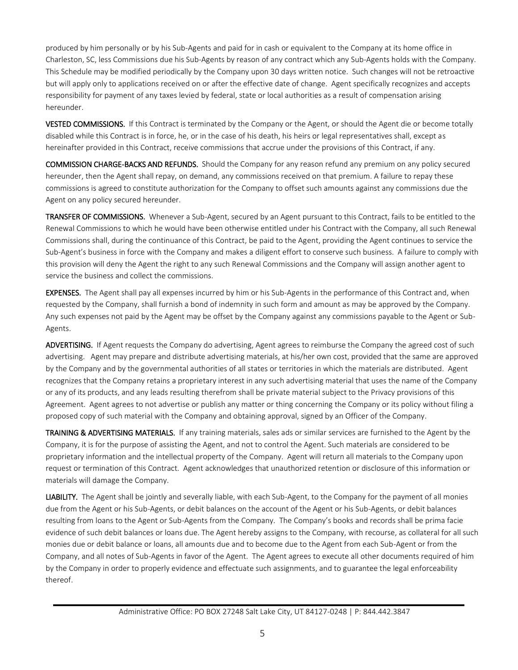produced by him personally or by his Sub-Agents and paid for in cash or equivalent to the Company at its home office in Charleston, SC, less Commissions due his Sub-Agents by reason of any contract which any Sub-Agents holds with the Company. This Schedule may be modified periodically by the Company upon 30 days written notice. Such changes will not be retroactive but will apply only to applications received on or after the effective date of change. Agent specifically recognizes and accepts responsibility for payment of any taxes levied by federal, state or local authorities as a result of compensation arising hereunder.

VESTED COMMISSIONS. If this Contract is terminated by the Company or the Agent, or should the Agent die or become totally disabled while this Contract is in force, he, or in the case of his death, his heirs or legal representatives shall, except as hereinafter provided in this Contract, receive commissions that accrue under the provisions of this Contract, if any.

COMMISSION CHARGE-BACKS AND REFUNDS. Should the Company for any reason refund any premium on any policy secured hereunder, then the Agent shall repay, on demand, any commissions received on that premium. A failure to repay these commissions is agreed to constitute authorization for the Company to offset such amounts against any commissions due the Agent on any policy secured hereunder.

TRANSFER OF COMMISSIONS. Whenever a Sub-Agent, secured by an Agent pursuant to this Contract, fails to be entitled to the Renewal Commissions to which he would have been otherwise entitled under his Contract with the Company, all such Renewal Commissions shall, during the continuance of this Contract, be paid to the Agent, providing the Agent continues to service the Sub-Agent's business in force with the Company and makes a diligent effort to conserve such business. A failure to comply with this provision will deny the Agent the right to any such Renewal Commissions and the Company will assign another agent to service the business and collect the commissions.

EXPENSES. The Agent shall pay all expenses incurred by him or his Sub-Agents in the performance of this Contract and, when requested by the Company, shall furnish a bond of indemnity in such form and amount as may be approved by the Company. Any such expenses not paid by the Agent may be offset by the Company against any commissions payable to the Agent or Sub-Agents.

ADVERTISING. If Agent requests the Company do advertising, Agent agrees to reimburse the Company the agreed cost of such advertising. Agent may prepare and distribute advertising materials, at his/her own cost, provided that the same are approved by the Company and by the governmental authorities of all states or territories in which the materials are distributed. Agent recognizes that the Company retains a proprietary interest in any such advertising material that uses the name of the Company or any of its products, and any leads resulting therefrom shall be private material subject to the Privacy provisions of this Agreement. Agent agrees to not advertise or publish any matter or thing concerning the Company or its policy without filing a proposed copy of such material with the Company and obtaining approval, signed by an Officer of the Company.

TRAINING & ADVERTISING MATERIALS. If any training materials, sales ads or similar services are furnished to the Agent by the Company, it is for the purpose of assisting the Agent, and not to control the Agent. Such materials are considered to be proprietary information and the intellectual property of the Company. Agent will return all materials to the Company upon request or termination of this Contract. Agent acknowledges that unauthorized retention or disclosure of this information or materials will damage the Company.

LIABILITY. The Agent shall be jointly and severally liable, with each Sub-Agent, to the Company for the payment of all monies due from the Agent or his Sub-Agents, or debit balances on the account of the Agent or his Sub-Agents, or debit balances resulting from loans to the Agent or Sub-Agents from the Company. The Company's books and records shall be prima facie evidence of such debit balances or loans due. The Agent hereby assigns to the Company, with recourse, as collateral for all such monies due or debit balance or loans, all amounts due and to become due to the Agent from each Sub-Agent or from the Company, and all notes of Sub-Agents in favor of the Agent. The Agent agrees to execute all other documents required of him by the Company in order to properly evidence and effectuate such assignments, and to guarantee the legal enforceability thereof.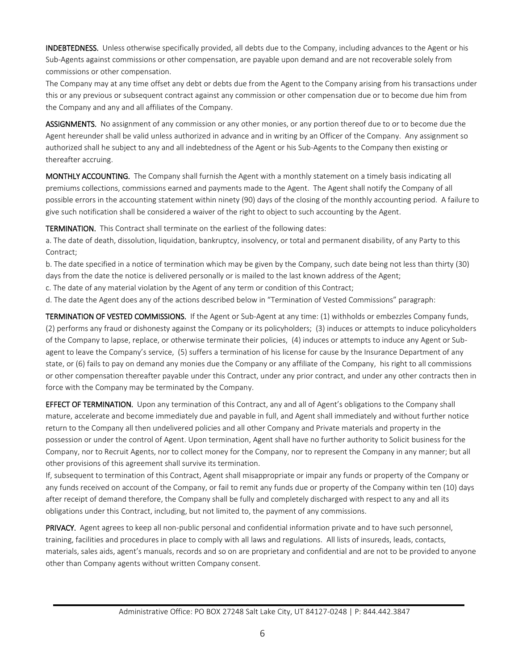INDEBTEDNESS. Unless otherwise specifically provided, all debts due to the Company, including advances to the Agent or his Sub-Agents against commissions or other compensation, are payable upon demand and are not recoverable solely from commissions or other compensation.

The Company may at any time offset any debt or debts due from the Agent to the Company arising from his transactions under this or any previous or subsequent contract against any commission or other compensation due or to become due him from the Company and any and all affiliates of the Company.

ASSIGNMENTS. No assignment of any commission or any other monies, or any portion thereof due to or to become due the Agent hereunder shall be valid unless authorized in advance and in writing by an Officer of the Company. Any assignment so authorized shall he subject to any and all indebtedness of the Agent or his Sub-Agents to the Company then existing or thereafter accruing.

MONTHLY ACCOUNTING. The Company shall furnish the Agent with a monthly statement on a timely basis indicating all premiums collections, commissions earned and payments made to the Agent. The Agent shall notify the Company of all possible errors in the accounting statement within ninety (90) days of the closing of the monthly accounting period. A failure to give such notification shall be considered a waiver of the right to object to such accounting by the Agent.

TERMINATION. This Contract shall terminate on the earliest of the following dates:

a. The date of death, dissolution, liquidation, bankruptcy, insolvency, or total and permanent disability, of any Party to this Contract;

b. The date specified in a notice of termination which may be given by the Company, such date being not less than thirty (30) days from the date the notice is delivered personally or is mailed to the last known address of the Agent;

c. The date of any material violation by the Agent of any term or condition of this Contract;

d. The date the Agent does any of the actions described below in "Termination of Vested Commissions" paragraph:

TERMINATION OF VESTED COMMISSIONS. If the Agent or Sub-Agent at any time: (1) withholds or embezzles Company funds, (2) performs any fraud or dishonesty against the Company or its policyholders; (3) induces or attempts to induce policyholders of the Company to lapse, replace, or otherwise terminate their policies, (4) induces or attempts to induce any Agent or Subagent to leave the Company's service, (5) suffers a termination of his license for cause by the Insurance Department of any state, or (6) fails to pay on demand any monies due the Company or any affiliate of the Company, his right to all commissions or other compensation thereafter payable under this Contract, under any prior contract, and under any other contracts then in force with the Company may be terminated by the Company.

EFFECT OF TERMINATION. Upon any termination of this Contract, any and all of Agent's obligations to the Company shall mature, accelerate and become immediately due and payable in full, and Agent shall immediately and without further notice return to the Company all then undelivered policies and all other Company and Private materials and property in the possession or under the control of Agent. Upon termination, Agent shall have no further authority to Solicit business for the Company, nor to Recruit Agents, nor to collect money for the Company, nor to represent the Company in any manner; but all other provisions of this agreement shall survive its termination.

If, subsequent to termination of this Contract, Agent shall misappropriate or impair any funds or property of the Company or any funds received on account of the Company, or fail to remit any funds due or property of the Company within ten (10) days after receipt of demand therefore, the Company shall be fully and completely discharged with respect to any and all its obligations under this Contract, including, but not limited to, the payment of any commissions.

PRIVACY. Agent agrees to keep all non-public personal and confidential information private and to have such personnel, training, facilities and procedures in place to comply with all laws and regulations. All lists of insureds, leads, contacts, materials, sales aids, agent's manuals, records and so on are proprietary and confidential and are not to be provided to anyone other than Company agents without written Company consent.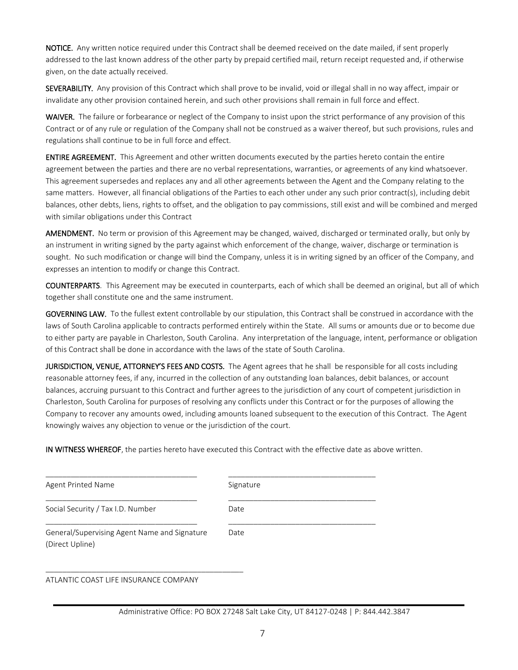NOTICE. Any written notice required under this Contract shall be deemed received on the date mailed, if sent properly addressed to the last known address of the other party by prepaid certified mail, return receipt requested and, if otherwise given, on the date actually received.

SEVERABILITY. Any provision of this Contract which shall prove to be invalid, void or illegal shall in no way affect, impair or invalidate any other provision contained herein, and such other provisions shall remain in full force and effect.

WAIVER. The failure or forbearance or neglect of the Company to insist upon the strict performance of any provision of this Contract or of any rule or regulation of the Company shall not be construed as a waiver thereof, but such provisions, rules and regulations shall continue to be in full force and effect.

ENTIRE AGREEMENT. This Agreement and other written documents executed by the parties hereto contain the entire agreement between the parties and there are no verbal representations, warranties, or agreements of any kind whatsoever. This agreement supersedes and replaces any and all other agreements between the Agent and the Company relating to the same matters. However, all financial obligations of the Parties to each other under any such prior contract(s), including debit balances, other debts, liens, rights to offset, and the obligation to pay commissions, still exist and will be combined and merged with similar obligations under this Contract

AMENDMENT. No term or provision of this Agreement may be changed, waived, discharged or terminated orally, but only by an instrument in writing signed by the party against which enforcement of the change, waiver, discharge or termination is sought. No such modification or change will bind the Company, unless it is in writing signed by an officer of the Company, and expresses an intention to modify or change this Contract.

COUNTERPARTS. This Agreement may be executed in counterparts, each of which shall be deemed an original, but all of which together shall constitute one and the same instrument.

GOVERNING LAW. To the fullest extent controllable by our stipulation, this Contract shall be construed in accordance with the laws of South Carolina applicable to contracts performed entirely within the State. All sums or amounts due or to become due to either party are payable in Charleston, South Carolina. Any interpretation of the language, intent, performance or obligation of this Contract shall be done in accordance with the laws of the state of South Carolina.

JURISDICTION, VENUE, ATTORNEY'S FEES AND COSTS. The Agent agrees that he shall be responsible for all costs including reasonable attorney fees, if any, incurred in the collection of any outstanding loan balances, debit balances, or account balances, accruing pursuant to this Contract and further agrees to the jurisdiction of any court of competent jurisdiction in Charleston, South Carolina for purposes of resolving any conflicts under this Contract or for the purposes of allowing the Company to recover any amounts owed, including amounts loaned subsequent to the execution of this Contract. The Agent knowingly waives any objection to venue or the jurisdiction of the court.

IN WITNESS WHEREOF, the parties hereto have executed this Contract with the effective date as above written.

| Agent Printed Name                                              | Signature |
|-----------------------------------------------------------------|-----------|
| Social Security / Tax I.D. Number                               | Date      |
| General/Supervising Agent Name and Signature<br>(Direct Upline) | Date      |

ATLANTIC COAST LIFE INSURANCE COMPANY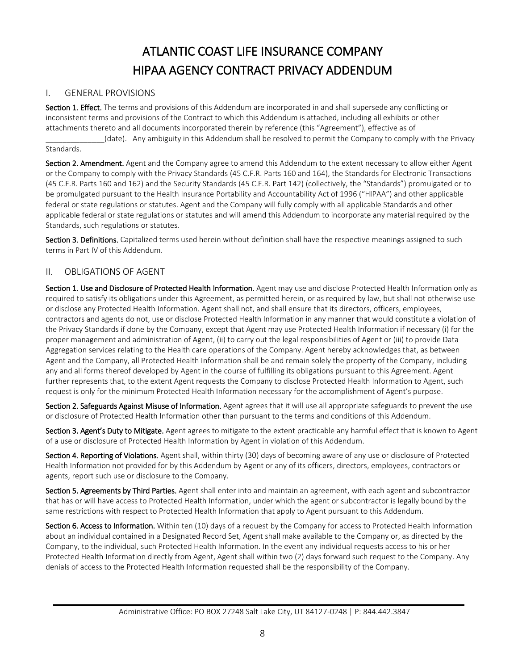# ATLANTIC COAST LIFE INSURANCE COMPANY HIPAA AGENCY CONTRACT PRIVACY ADDENDUM

### I. GENERAL PROVISIONS

Section 1. Effect. The terms and provisions of this Addendum are incorporated in and shall supersede any conflicting or inconsistent terms and provisions of the Contract to which this Addendum is attached, including all exhibits or other attachments thereto and all documents incorporated therein by reference (this "Agreement"), effective as of

\_\_\_\_\_\_\_\_\_\_\_\_\_\_(date). Any ambiguity in this Addendum shall be resolved to permit the Company to comply with the Privacy Standards.

Section 2. Amendment. Agent and the Company agree to amend this Addendum to the extent necessary to allow either Agent or the Company to comply with the Privacy Standards (45 C.F.R. Parts 160 and 164), the Standards for Electronic Transactions (45 C.F.R. Parts 160 and 162) and the Security Standards (45 C.F.R. Part 142) (collectively, the "Standards") promulgated or to be promulgated pursuant to the Health Insurance Portability and Accountability Act of 1996 ("HIPAA") and other applicable federal or state regulations or statutes. Agent and the Company will fully comply with all applicable Standards and other applicable federal or state regulations or statutes and will amend this Addendum to incorporate any material required by the Standards, such regulations or statutes.

Section 3. Definitions. Capitalized terms used herein without definition shall have the respective meanings assigned to such terms in Part IV of this Addendum.

## II. OBLIGATIONS OF AGENT

Section 1. Use and Disclosure of Protected Health Information. Agent may use and disclose Protected Health Information only as required to satisfy its obligations under this Agreement, as permitted herein, or as required by law, but shall not otherwise use or disclose any Protected Health Information. Agent shall not, and shall ensure that its directors, officers, employees, contractors and agents do not, use or disclose Protected Health Information in any manner that would constitute a violation of the Privacy Standards if done by the Company, except that Agent may use Protected Health Information if necessary (i) for the proper management and administration of Agent, (ii) to carry out the legal responsibilities of Agent or (iii) to provide Data Aggregation services relating to the Health care operations of the Company. Agent hereby acknowledges that, as between Agent and the Company, all Protected Health Information shall be and remain solely the property of the Company, including any and all forms thereof developed by Agent in the course of fulfilling its obligations pursuant to this Agreement. Agent further represents that, to the extent Agent requests the Company to disclose Protected Health Information to Agent, such request is only for the minimum Protected Health Information necessary for the accomplishment of Agent's purpose.

Section 2. Safeguards Against Misuse of Information. Agent agrees that it will use all appropriate safeguards to prevent the use or disclosure of Protected Health Information other than pursuant to the terms and conditions of this Addendum.

Section 3. Agent's Duty to Mitigate. Agent agrees to mitigate to the extent practicable any harmful effect that is known to Agent of a use or disclosure of Protected Health Information by Agent in violation of this Addendum.

Section 4. Reporting of Violations. Agent shall, within thirty (30) days of becoming aware of any use or disclosure of Protected Health Information not provided for by this Addendum by Agent or any of its officers, directors, employees, contractors or agents, report such use or disclosure to the Company.

Section 5. Agreements by Third Parties. Agent shall enter into and maintain an agreement, with each agent and subcontractor that has or will have access to Protected Health Information, under which the agent or subcontractor is legally bound by the same restrictions with respect to Protected Health Information that apply to Agent pursuant to this Addendum.

Section 6. Access to Information. Within ten (10) days of a request by the Company for access to Protected Health Information about an individual contained in a Designated Record Set, Agent shall make available to the Company or, as directed by the Company, to the individual, such Protected Health Information. In the event any individual requests access to his or her Protected Health Information directly from Agent, Agent shall within two (2) days forward such request to the Company. Any denials of access to the Protected Health Information requested shall be the responsibility of the Company.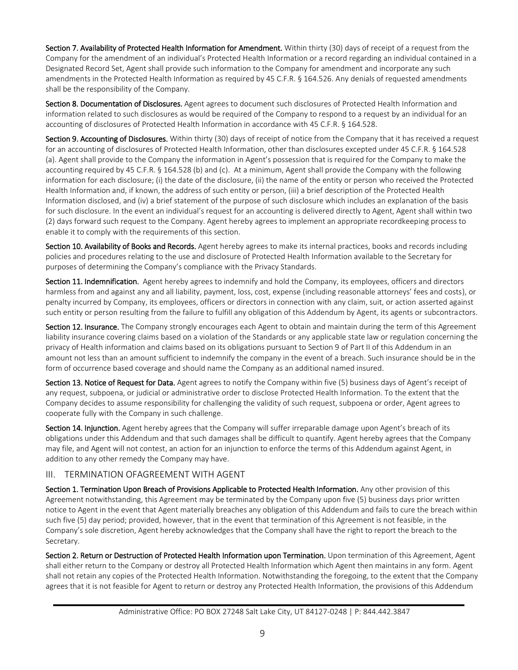Section 7. Availability of Protected Health Information for Amendment. Within thirty (30) days of receipt of a request from the Company for the amendment of an individual's Protected Health Information or a record regarding an individual contained in a Designated Record Set, Agent shall provide such information to the Company for amendment and incorporate any such amendments in the Protected Health Information as required by 45 C.F.R. § 164.526. Any denials of requested amendments shall be the responsibility of the Company.

Section 8. Documentation of Disclosures. Agent agrees to document such disclosures of Protected Health Information and information related to such disclosures as would be required of the Company to respond to a request by an individual for an accounting of disclosures of Protected Health Information in accordance with 45 C.F.R. § 164.528.

Section 9. Accounting of Disclosures. Within thirty (30) days of receipt of notice from the Company that it has received a request for an accounting of disclosures of Protected Health Information, other than disclosures excepted under 45 C.F.R. § 164.528 (a). Agent shall provide to the Company the information in Agent's possession that is required for the Company to make the accounting required by 45 C.F.R. § 164.528 (b) and (c). At a minimum, Agent shall provide the Company with the following information for each disclosure; (i) the date of the disclosure, (ii) the name of the entity or person who received the Protected Health Information and, if known, the address of such entity or person, (iii) a brief description of the Protected Health Information disclosed, and (iv) a brief statement of the purpose of such disclosure which includes an explanation of the basis for such disclosure. In the event an individual's request for an accounting is delivered directly to Agent, Agent shall within two (2) days forward such request to the Company. Agent hereby agrees to implement an appropriate recordkeeping process to enable it to comply with the requirements of this section.

Section 10. Availability of Books and Records. Agent hereby agrees to make its internal practices, books and records including policies and procedures relating to the use and disclosure of Protected Health Information available to the Secretary for purposes of determining the Company's compliance with the Privacy Standards.

Section 11. Indemnification. Agent hereby agrees to indemnify and hold the Company, its employees, officers and directors harmless from and against any and all liability, payment, loss, cost, expense (including reasonable attorneys' fees and costs), or penalty incurred by Company, its employees, officers or directors in connection with any claim, suit, or action asserted against such entity or person resulting from the failure to fulfill any obligation of this Addendum by Agent, its agents or subcontractors.

Section 12. Insurance. The Company strongly encourages each Agent to obtain and maintain during the term of this Agreement liability insurance covering claims based on a violation of the Standards or any applicable state law or regulation concerning the privacy of Health information and claims based on its obligations pursuant to Section 9 of Part II of this Addendum in an amount not less than an amount sufficient to indemnify the company in the event of a breach. Such insurance should be in the form of occurrence based coverage and should name the Company as an additional named insured.

Section 13. Notice of Request for Data. Agent agrees to notify the Company within five (5) business days of Agent's receipt of any request, subpoena, or judicial or administrative order to disclose Protected Health Information. To the extent that the Company decides to assume responsibility for challenging the validity of such request, subpoena or order, Agent agrees to cooperate fully with the Company in such challenge.

Section 14. Injunction. Agent hereby agrees that the Company will suffer irreparable damage upon Agent's breach of its obligations under this Addendum and that such damages shall be difficult to quantify. Agent hereby agrees that the Company may file, and Agent will not contest, an action for an injunction to enforce the terms of this Addendum against Agent, in addition to any other remedy the Company may have.

## III. TERMINATION OFAGREEMENT WITH AGENT

Section 1. Termination Upon Breach of Provisions Applicable to Protected Health Information. Any other provision of this Agreement notwithstanding, this Agreement may be terminated by the Company upon five (5) business days prior written notice to Agent in the event that Agent materially breaches any obligation of this Addendum and fails to cure the breach within such five (5) day period; provided, however, that in the event that termination of this Agreement is not feasible, in the Company's sole discretion, Agent hereby acknowledges that the Company shall have the right to report the breach to the Secretary.

Section 2. Return or Destruction of Protected Health Information upon Termination. Upon termination of this Agreement, Agent shall either return to the Company or destroy all Protected Health Information which Agent then maintains in any form. Agent shall not retain any copies of the Protected Health Information. Notwithstanding the foregoing, to the extent that the Company agrees that it is not feasible for Agent to return or destroy any Protected Health Information, the provisions of this Addendum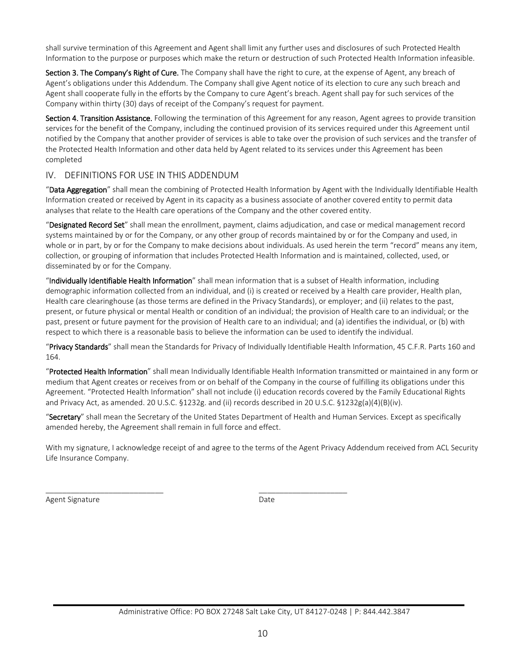shall survive termination of this Agreement and Agent shall limit any further uses and disclosures of such Protected Health Information to the purpose or purposes which make the return or destruction of such Protected Health Information infeasible.

Section 3. The Company's Right of Cure. The Company shall have the right to cure, at the expense of Agent, any breach of Agent's obligations under this Addendum. The Company shall give Agent notice of its election to cure any such breach and Agent shall cooperate fully in the efforts by the Company to cure Agent's breach. Agent shall pay for such services of the Company within thirty (30) days of receipt of the Company's request for payment.

Section 4. Transition Assistance. Following the termination of this Agreement for any reason, Agent agrees to provide transition services for the benefit of the Company, including the continued provision of its services required under this Agreement until notified by the Company that another provider of services is able to take over the provision of such services and the transfer of the Protected Health Information and other data held by Agent related to its services under this Agreement has been completed

### IV. DEFINITIONS FOR USE IN THIS ADDENDUM

"Data Aggregation" shall mean the combining of Protected Health Information by Agent with the Individually Identifiable Health Information created or received by Agent in its capacity as a business associate of another covered entity to permit data analyses that relate to the Health care operations of the Company and the other covered entity.

"Designated Record Set" shall mean the enrollment, payment, claims adjudication, and case or medical management record systems maintained by or for the Company, or any other group of records maintained by or for the Company and used, in whole or in part, by or for the Company to make decisions about individuals. As used herein the term "record" means any item, collection, or grouping of information that includes Protected Health Information and is maintained, collected, used, or disseminated by or for the Company.

"Individually Identifiable Health Information" shall mean information that is a subset of Health information, including demographic information collected from an individual, and (i) is created or received by a Health care provider, Health plan, Health care clearinghouse (as those terms are defined in the Privacy Standards), or employer; and (ii) relates to the past, present, or future physical or mental Health or condition of an individual; the provision of Health care to an individual; or the past, present or future payment for the provision of Health care to an individual; and (a) identifies the individual, or (b) with respect to which there is a reasonable basis to believe the information can be used to identify the individual.

"Privacy Standards" shall mean the Standards for Privacy of Individually Identifiable Health Information, 45 C.F.R. Parts 160 and 164.

"Protected Health Information" shall mean Individually Identifiable Health Information transmitted or maintained in any form or medium that Agent creates or receives from or on behalf of the Company in the course of fulfilling its obligations under this Agreement. "Protected Health Information" shall not include (i) education records covered by the Family Educational Rights and Privacy Act, as amended. 20 U.S.C. §1232g. and (ii) records described in 20 U.S.C. §1232g(a)(4)(B)(iv).

"Secretary" shall mean the Secretary of the United States Department of Health and Human Services. Except as specifically amended hereby, the Agreement shall remain in full force and effect.

\_\_\_\_\_\_\_\_\_\_\_\_\_\_\_\_\_\_\_\_\_\_\_\_\_\_\_\_ \_\_\_\_\_\_\_\_\_\_\_\_\_\_\_\_\_\_\_\_\_

With my signature, I acknowledge receipt of and agree to the terms of the Agent Privacy Addendum received from ACL Security Life Insurance Company.

Agent Signature Date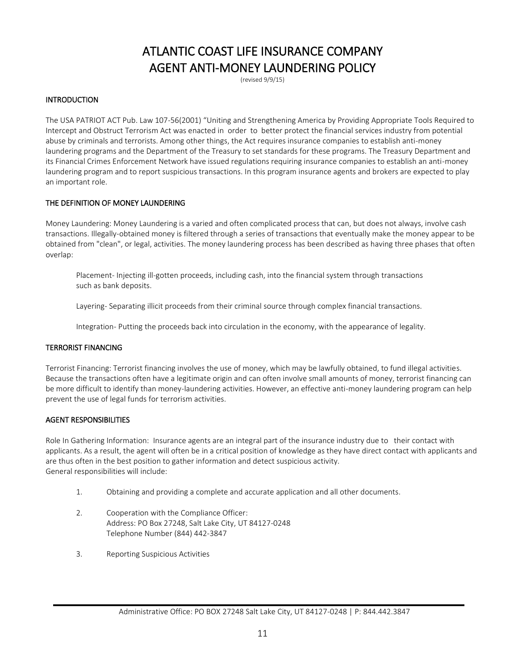## ATLANTIC COAST LIFE INSURANCE COMPANY AGENT ANTI-MONEY LAUNDERING POLICY

(revised 9/9/15)

### **INTRODUCTION**

The USA PATRIOT ACT Pub. Law 107-56(2001) "Uniting and Strengthening America by Providing Appropriate Tools Required to Intercept and Obstruct Terrorism Act was enacted in order to better protect the financial services industry from potential abuse by criminals and terrorists. Among other things, the Act requires insurance companies to establish anti-money laundering programs and the Department of the Treasury to set standards for these programs. The Treasury Department and its Financial Crimes Enforcement Network have issued regulations requiring insurance companies to establish an anti-money laundering program and to report suspicious transactions. In this program insurance agents and brokers are expected to play an important role.

### THE DEFINITION OF MONEY LAUNDERING

Money Laundering: Money Laundering is a varied and often complicated process that can, but does not always, involve cash transactions. Illegally-obtained money is filtered through a series of transactions that eventually make the money appear to be obtained from "clean", or legal, activities. The money laundering process has been described as having three phases that often overlap:

Placement- Injecting ill-gotten proceeds, including cash, into the financial system through transactions such as bank deposits.

Layering- Separating illicit proceeds from their criminal source through complex financial transactions.

Integration- Putting the proceeds back into circulation in the economy, with the appearance of legality.

### TERRORIST FINANCING

Terrorist Financing: Terrorist financing involves the use of money, which may be lawfully obtained, to fund illegal activities. Because the transactions often have a legitimate origin and can often involve small amounts of money, terrorist financing can be more difficult to identify than money-laundering activities. However, an effective anti-money laundering program can help prevent the use of legal funds for terrorism activities.

### AGENT RESPONSIBILITIES

Role In Gathering Information: Insurance agents are an integral part of the insurance industry due to their contact with applicants. As a result, the agent will often be in a critical position of knowledge as they have direct contact with applicants and are thus often in the best position to gather information and detect suspicious activity. General responsibilities will include:

- 1. Obtaining and providing a complete and accurate application and all other documents.
- 2. Cooperation with the Compliance Officer: Address: PO Box 27248, Salt Lake City, UT 84127-0248 Telephone Number (844) 442-3847
- 3. Reporting Suspicious Activities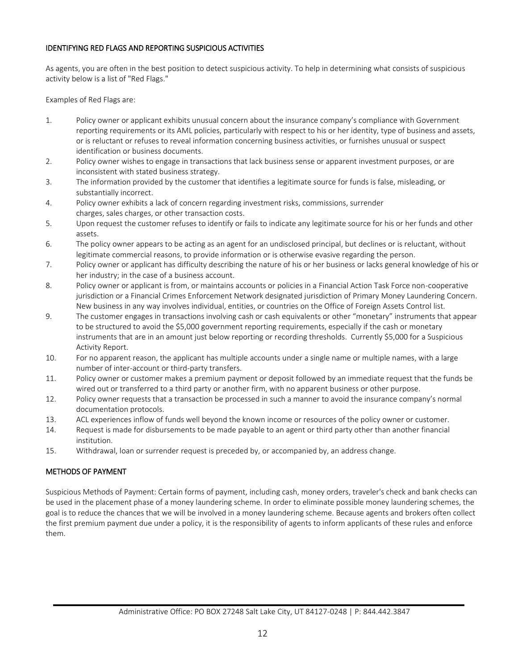### IDENTIFYING RED FLAGS AND REPORTING SUSPICIOUS ACTIVITIES

As agents, you are often in the best position to detect suspicious activity. To help in determining what consists of suspicious activity below is a list of "Red Flags."

Examples of Red Flags are:

- 1. Policy owner or applicant exhibits unusual concern about the insurance company's compliance with Government reporting requirements or its AML policies, particularly with respect to his or her identity, type of business and assets, or is reluctant or refuses to reveal information concerning business activities, or furnishes unusual or suspect identification or business documents.
- 2. Policy owner wishes to engage in transactions that lack business sense or apparent investment purposes, or are inconsistent with stated business strategy.
- 3. The information provided by the customer that identifies a legitimate source for funds is false, misleading, or substantially incorrect.
- 4. Policy owner exhibits a lack of concern regarding investment risks, commissions, surrender charges, sales charges, or other transaction costs.
- 5. Upon request the customer refuses to identify or fails to indicate any legitimate source for his or her funds and other assets.
- 6. The policy owner appears to be acting as an agent for an undisclosed principal, but declines or is reluctant, without legitimate commercial reasons, to provide information or is otherwise evasive regarding the person.
- 7. Policy owner or applicant has difficulty describing the nature of his or her business or lacks general knowledge of his or her industry; in the case of a business account.
- 8. Policy owner or applicant is from, or maintains accounts or policies in a Financial Action Task Force non-cooperative jurisdiction or a Financial Crimes Enforcement Network designated jurisdiction of Primary Money Laundering Concern. New business in any way involves individual, entities, or countries on the Office of Foreign Assets Control list.
- 9. The customer engages in transactions involving cash or cash equivalents or other "monetary" instruments that appear to be structured to avoid the \$5,000 government reporting requirements, especially if the cash or monetary instruments that are in an amount just below reporting or recording thresholds. Currently \$5,000 for a Suspicious Activity Report.
- 10. For no apparent reason, the applicant has multiple accounts under a single name or multiple names, with a large number of inter-account or third-party transfers.
- 11. Policy owner or customer makes a premium payment or deposit followed by an immediate request that the funds be wired out or transferred to a third party or another firm, with no apparent business or other purpose.
- 12. Policy owner requests that a transaction be processed in such a manner to avoid the insurance company's normal documentation protocols.
- 13. ACL experiences inflow of funds well beyond the known income or resources of the policy owner or customer.
- 14. Request is made for disbursements to be made payable to an agent or third party other than another financial institution.
- 15. Withdrawal, loan or surrender request is preceded by, or accompanied by, an address change.

### METHODS OF PAYMENT

Suspicious Methods of Payment: Certain forms of payment, including cash, money orders, traveler's check and bank checks can be used in the placement phase of a money laundering scheme. In order to eliminate possible money laundering schemes, the goal is to reduce the chances that we will be involved in a money laundering scheme. Because agents and brokers often collect the first premium payment due under a policy, it is the responsibility of agents to inform applicants of these rules and enforce them.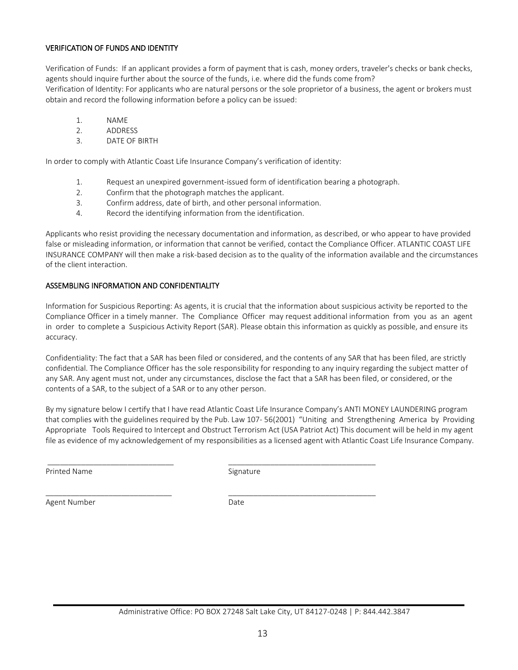### VERIFICATION OF FUNDS AND IDENTITY

Verification of Funds: If an applicant provides a form of payment that is cash, money orders, traveler's checks or bank checks, agents should inquire further about the source of the funds, i.e. where did the funds come from? Verification of Identity: For applicants who are natural persons or the sole proprietor of a business, the agent or brokers must obtain and record the following information before a policy can be issued:

- 1. NAME
- 2. ADDRESS
- 3. DATE OF BIRTH

In order to comply with Atlantic Coast Life Insurance Company's verification of identity:

- 1. Request an unexpired government-issued form of identification bearing a photograph.
- 2. Confirm that the photograph matches the applicant.
- 3. Confirm address, date of birth, and other personal information.
- 4. Record the identifying information from the identification.

Applicants who resist providing the necessary documentation and information, as described, or who appear to have provided false or misleading information, or information that cannot be verified, contact the Compliance Officer. ATLANTIC COAST LIFE INSURANCE COMPANY will then make a risk-based decision as to the quality of the information available and the circumstances of the client interaction.

### ASSEMBLING INFORMATION AND CONFIDENTIALITY

Information for Suspicious Reporting: As agents, it is crucial that the information about suspicious activity be reported to the Compliance Officer in a timely manner. The Compliance Officer may request additional information from you as an agent in order to complete a Suspicious Activity Report (SAR). Please obtain this information as quickly as possible, and ensure its accuracy.

Confidentiality: The fact that a SAR has been filed or considered, and the contents of any SAR that has been filed, are strictly confidential. The Compliance Officer has the sole responsibility for responding to any inquiry regarding the subject matter of any SAR. Any agent must not, under any circumstances, disclose the fact that a SAR has been filed, or considered, or the contents of a SAR, to the subject of a SAR or to any other person.

By my signature below I certify that I have read Atlantic Coast Life Insurance Company's ANTI MONEY LAUNDERING program that complies with the guidelines required by the Pub. Law 107- 56(2001) "Uniting and Strengthening America by Providing Appropriate Tools Required to Intercept and Obstruct Terrorism Act (USA Patriot Act) This document will be held in my agent file as evidence of my acknowledgement of my responsibilities as a licensed agent with Atlantic Coast Life Insurance Company.

Printed Name Signature

\_\_\_\_\_\_\_\_\_\_\_\_\_\_\_\_\_\_\_\_\_\_\_\_\_\_\_\_\_\_ \_\_\_\_\_\_\_\_\_\_\_\_\_\_\_\_\_\_\_\_\_\_\_\_\_\_\_\_\_\_\_\_\_\_\_

 $\Box$ 

Agent Number Date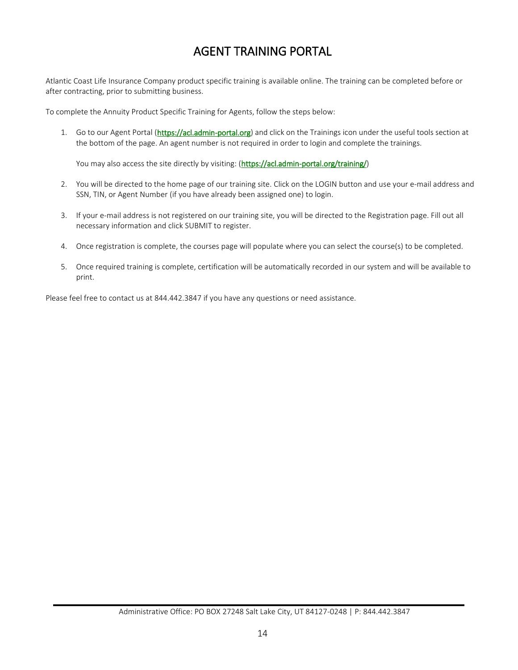## AGENT TRAINING PORTAL

Atlantic Coast Life Insurance Company product specific training is available online. The training can be completed before or after contracting, prior to submitting business.

To complete the Annuity Product Specific Training for Agents, follow the steps below:

1. Go to our Agent Portal [\(https://acl.admin-portal.org\)](http://r20.rs6.net/tn.jsp?t=6rlki5zab.0.0.sw4447sab.0&id=preview&r=3&p=https%3A%2F%2Facl.admin-portal.org) and click on the Trainings icon under the useful tools section at the bottom of the page. An agent number is not required in order to login and complete the trainings.

You may also access the site directly by visiting: [\(https://acl.admin-portal.org/training/\)](http://r20.rs6.net/tn.jsp?t=6rlki5zab.0.0.sw4447sab.0&id=preview&r=3&p=https%3A%2F%2Facl.admin-portal.org%2Ftraining%2F)

- 2. You will be directed to the home page of our training site. Click on the LOGIN button and use your e-mail address and SSN, TIN, or Agent Number (if you have already been assigned one) to login.
- 3. If your e-mail address is not registered on our training site, you will be directed to the Registration page. Fill out all necessary information and click SUBMIT to register.
- 4. Once registration is complete, the courses page will populate where you can select the course(s) to be completed.
- 5. Once required training is complete, certification will be automatically recorded in our system and will be available to print.

Please feel free to contact us at 844.442.3847 if you have any questions or need assistance.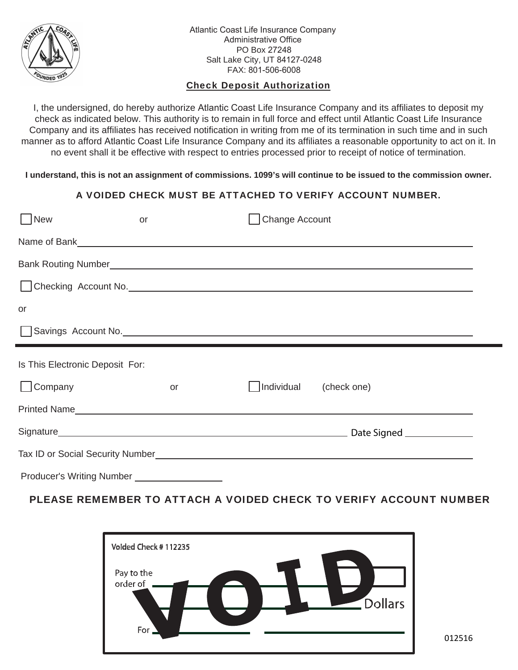

Atlantic Coast Life Insurance Company Administrative Office PO Box 27248 Salt Lake City, UT 84127-0248 FAX: 801-506-6008

## Check Deposit Authorization

I, the undersigned, do hereby authorize Atlantic Coast Life Insurance Company and its affiliates to deposit my check as indicated below. This authority is to remain in full force and effect until Atlantic Coast Life Insurance Company and its affiliates has received notification in writing from me of its termination in such time and in such manner as to afford Atlantic Coast Life Insurance Company and its affiliates a reasonable opportunity to act on it. In no event shall it be effective with respect to entries processed prior to receipt of notice of termination.

**I understand, this is not an assignment of commissions. 1099's will continue to be issued to the commission owner.**

## A VOIDED CHECK MUST BE ATTACHED TO VERIFY ACCOUNT NUMBER.

| $\vert$ New                     | or | Change Account                                                                                                                                                                                                                           |  |
|---------------------------------|----|------------------------------------------------------------------------------------------------------------------------------------------------------------------------------------------------------------------------------------------|--|
|                                 |    |                                                                                                                                                                                                                                          |  |
|                                 |    |                                                                                                                                                                                                                                          |  |
|                                 |    |                                                                                                                                                                                                                                          |  |
| or                              |    |                                                                                                                                                                                                                                          |  |
|                                 |    | Savings Account No.                                                                                                                                                                                                                      |  |
|                                 |    |                                                                                                                                                                                                                                          |  |
| Is This Electronic Deposit For: |    |                                                                                                                                                                                                                                          |  |
| $\Box$ Company                  | or | Individual (check one)                                                                                                                                                                                                                   |  |
|                                 |    | Printed Name <sub>n</sub> and the second second second second second second second second second second second second second second second second second second second second second second second second second second second second se |  |
|                                 |    |                                                                                                                                                                                                                                          |  |
|                                 |    |                                                                                                                                                                                                                                          |  |

PLEASE REMEMBER TO ATTACH A VOIDED CHECK TO VERIFY ACCOUNT NUMBER



012516